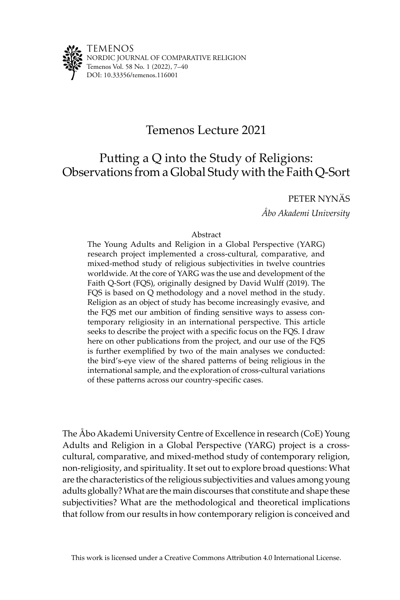

TEMENOS NORDIC JOURNAL OF COMPARATIVE RELIGION Temenos Vol. 58 No. 1 (2022), 7–40 DOI: [10.33356/temenos.116001](http://doi.org/10.33356/temenos.116001)

# Temenos Lecture 2021

# Putting a Q into the Study of Religions: Observations from a Global Study with the Faith Q-Sort

# PETER NYNÄS

*Åbo Akademi University*

# Abstract

The Young Adults and Religion in a Global Perspective (YARG) research project implemented a cross-cultural, comparative, and mixed-method study of religious subjectivities in twelve countries worldwide. At the core of YARG was the use and development of the Faith Q-Sort (FQS), originally designed by David Wulff (2019). The FQS is based on Q methodology and a novel method in the study. Religion as an object of study has become increasingly evasive, and the FQS met our ambition of finding sensitive ways to assess contemporary religiosity in an international perspective. This article seeks to describe the project with a specific focus on the FQS. I draw here on other publications from the project, and our use of the FQS is further exemplified by two of the main analyses we conducted: the bird's-eye view of the shared patterns of being religious in the international sample, and the exploration of cross-cultural variations of these patterns across our country-specific cases.

The Åbo Akademi University Centre of Excellence in research (CoE) Young Adults and Religion in a Global Perspective (YARG) project is a crosscultural, comparative, and mixed-method study of contemporary religion, non-religiosity, and spirituality. It set out to explore broad questions: What are the characteristics of the religious subjectivities and values among young adults globally? What are the main discourses that constitute and shape these subjectivities? What are the methodological and theoretical implications that follow from our results in how contemporary religion is conceived and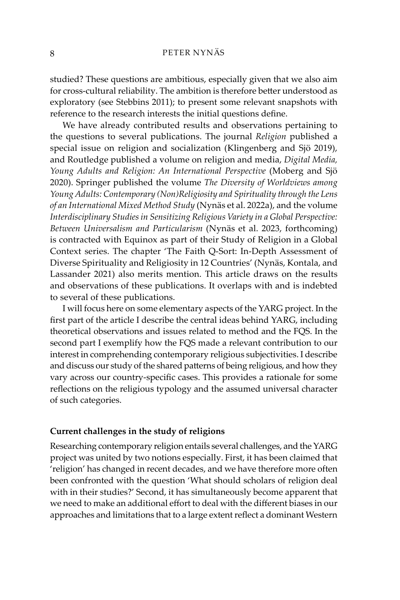studied? These questions are ambitious, especially given that we also aim for cross-cultural reliability. The ambition is therefore better understood as exploratory (see Stebbins 2011); to present some relevant snapshots with reference to the research interests the initial questions define.

We have already contributed results and observations pertaining to the questions to several publications. The journal *Religion* published a special issue on religion and socialization (Klingenberg and Sjö 2019), and Routledge published a volume on religion and media, *Digital Media, Young Adults and Religion: An International Perspective* (Moberg and Sjö 2020). Springer published the volume *The Diversity of Worldviews among Young Adults: Contemporary (Non)Religiosity and Spirituality through the Lens of an International Mixed Method Study* (Nynäs et al. 2022a), and the volume *Interdisciplinary Studies in Sensitizing Religious Variety in a Global Perspective: Between Universalism and Particularism* (Nynäs et al. 2023, forthcoming) is contracted with Equinox as part of their Study of Religion in a Global Context series. The chapter 'The Faith Q-Sort: In-Depth Assessment of Diverse Spirituality and Religiosity in 12 Countries' (Nynäs, Kontala, and Lassander 2021) also merits mention. This article draws on the results and observations of these publications. It overlaps with and is indebted to several of these publications.

I will focus here on some elementary aspects of the YARG project. In the first part of the article I describe the central ideas behind YARG, including theoretical observations and issues related to method and the FQS. In the second part I exemplify how the FQS made a relevant contribution to our interest in comprehending contemporary religious subjectivities. I describe and discuss our study of the shared patterns of being religious, and how they vary across our country-specific cases. This provides a rationale for some reflections on the religious typology and the assumed universal character of such categories.

# **Current challenges in the study of religions**

Researching contemporary religion entails several challenges, and the YARG project was united by two notions especially. First, it has been claimed that 'religion' has changed in recent decades, and we have therefore more often been confronted with the question 'What should scholars of religion deal with in their studies?' Second, it has simultaneously become apparent that we need to make an additional effort to deal with the different biases in our approaches and limitations that to a large extent reflect a dominant Western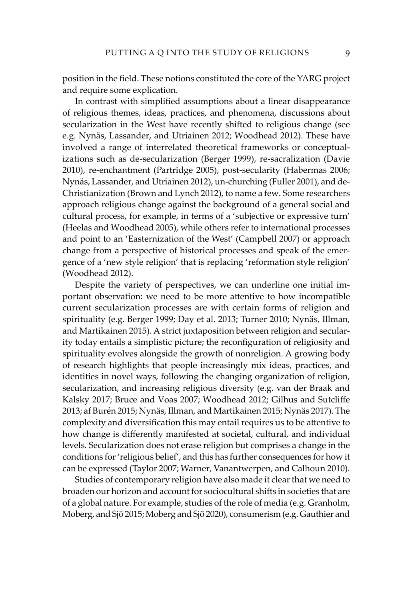position in the field. These notions constituted the core of the YARG project and require some explication.

In contrast with simplified assumptions about a linear disappearance of religious themes, ideas, practices, and phenomena, discussions about secularization in the West have recently shifted to religious change (see e.g. Nynäs, Lassander, and Utriainen 2012; Woodhead 2012). These have involved a range of interrelated theoretical frameworks or conceptualizations such as de-secularization (Berger 1999), re-sacralization (Davie 2010), re-enchantment (Partridge 2005), post-secularity (Habermas 2006; Nynäs, Lassander, and Utriainen 2012), un-churching (Fuller 2001), and de-Christianization (Brown and Lynch 2012), to name a few. Some researchers approach religious change against the background of a general social and cultural process, for example, in terms of a 'subjective or expressive turn' (Heelas and Woodhead 2005), while others refer to international processes and point to an 'Easternization of the West' (Campbell 2007) or approach change from a perspective of historical processes and speak of the emergence of a 'new style religion' that is replacing 'reformation style religion' (Woodhead 2012).

Despite the variety of perspectives, we can underline one initial important observation: we need to be more attentive to how incompatible current secularization processes are with certain forms of religion and spirituality (e.g. Berger 1999; Day et al. 2013; Turner 2010; Nynäs, Illman, and Martikainen 2015). A strict juxtaposition between religion and secularity today entails a simplistic picture; the reconfiguration of religiosity and spirituality evolves alongside the growth of nonreligion. A growing body of research highlights that people increasingly mix ideas, practices, and identities in novel ways, following the changing organization of religion, secularization, and increasing religious diversity (e.g. van der Braak and Kalsky 2017; Bruce and Voas 2007; Woodhead 2012; Gilhus and Sutcliffe 2013; af Burén 2015; Nynäs, Illman, and Martikainen 2015; Nynäs 2017). The complexity and diversification this may entail requires us to be attentive to how change is differently manifested at societal, cultural, and individual levels. Secularization does not erase religion but comprises a change in the conditions for 'religious belief', and this has further consequences for how it can be expressed (Taylor 2007; Warner, Vanantwerpen, and Calhoun 2010).

Studies of contemporary religion have also made it clear that we need to broaden our horizon and account for sociocultural shifts in societies that are of a global nature. For example, studies of the role of media (e.g. Granholm, Moberg, and Sjö 2015; Moberg and Sjö 2020), consumerism (e.g. Gauthier and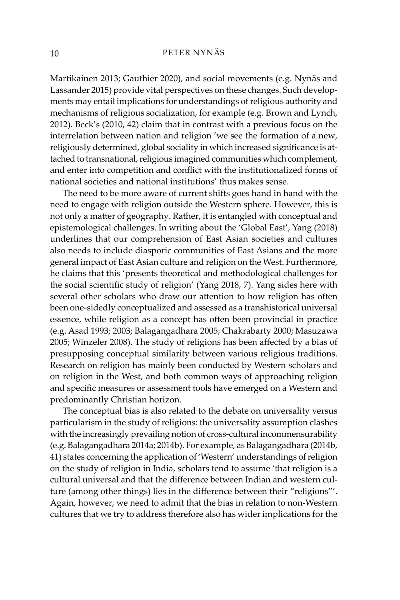Martikainen 2013; Gauthier 2020), and social movements (e.g. Nynäs and Lassander 2015) provide vital perspectives on these changes. Such developments may entail implications for understandings of religious authority and mechanisms of religious socialization, for example (e.g. Brown and Lynch, 2012). Beck's (2010, 42) claim that in contrast with a previous focus on the interrelation between nation and religion 'we see the formation of a new, religiously determined, global sociality in which increased significance is attached to transnational, religious imagined communities which complement, and enter into competition and conflict with the institutionalized forms of national societies and national institutions' thus makes sense.

The need to be more aware of current shifts goes hand in hand with the need to engage with religion outside the Western sphere. However, this is not only a matter of geography. Rather, it is entangled with conceptual and epistemological challenges. In writing about the 'Global East', Yang (2018) underlines that our comprehension of East Asian societies and cultures also needs to include diasporic communities of East Asians and the more general impact of East Asian culture and religion on the West. Furthermore, he claims that this 'presents theoretical and methodological challenges for the social scientific study of religion' (Yang 2018, 7). Yang sides here with several other scholars who draw our attention to how religion has often been one-sidedly conceptualized and assessed as a transhistorical universal essence, while religion as a concept has often been provincial in practice (e.g. Asad 1993; 2003; Balagangadhara 2005; Chakrabarty 2000; Masuzawa 2005; Winzeler 2008). The study of religions has been affected by a bias of presupposing conceptual similarity between various religious traditions. Research on religion has mainly been conducted by Western scholars and on religion in the West, and both common ways of approaching religion and specific measures or assessment tools have emerged on a Western and predominantly Christian horizon.

The conceptual bias is also related to the debate on universality versus particularism in the study of religions: the universality assumption clashes with the increasingly prevailing notion of cross-cultural incommensurability (e.g. Balagangadhara 2014a; 2014b). For example, as Balagangadhara (2014b, 41) states concerning the application of 'Western' understandings of religion on the study of religion in India, scholars tend to assume 'that religion is a cultural universal and that the difference between Indian and western culture (among other things) lies in the difference between their "religions"'. Again, however, we need to admit that the bias in relation to non-Western cultures that we try to address therefore also has wider implications for the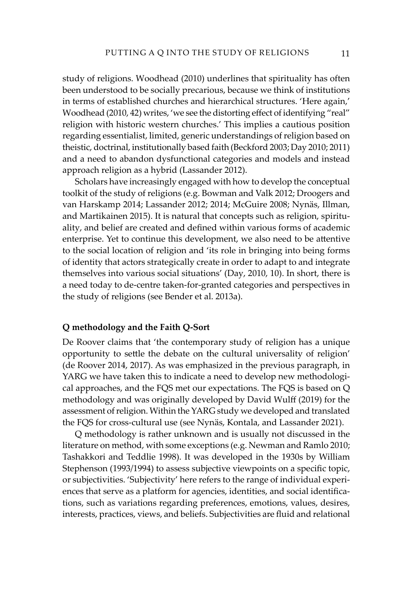study of religions. Woodhead (2010) underlines that spirituality has often been understood to be socially precarious, because we think of institutions in terms of established churches and hierarchical structures. 'Here again,' Woodhead (2010, 42) writes, 'we see the distorting effect of identifying "real" religion with historic western churches.' This implies a cautious position regarding essentialist, limited, generic understandings of religion based on theistic, doctrinal, institutionally based faith (Beckford 2003; Day 2010; 2011) and a need to abandon dysfunctional categories and models and instead approach religion as a hybrid (Lassander 2012).

Scholars have increasingly engaged with how to develop the conceptual toolkit of the study of religions (e.g. Bowman and Valk 2012; Droogers and van Harskamp 2014; Lassander 2012; 2014; McGuire 2008; Nynäs, Illman, and Martikainen 2015). It is natural that concepts such as religion, spirituality, and belief are created and defined within various forms of academic enterprise. Yet to continue this development, we also need to be attentive to the social location of religion and 'its role in bringing into being forms of identity that actors strategically create in order to adapt to and integrate themselves into various social situations' (Day, 2010, 10). In short, there is a need today to de-centre taken-for-granted categories and perspectives in the study of religions (see Bender et al. 2013a).

#### **Q methodology and the Faith Q-Sort**

De Roover claims that 'the contemporary study of religion has a unique opportunity to settle the debate on the cultural universality of religion' (de Roover 2014, 2017). As was emphasized in the previous paragraph, in YARG we have taken this to indicate a need to develop new methodological approaches, and the FQS met our expectations. The FQS is based on Q methodology and was originally developed by David Wulff (2019) for the assessment of religion. Within the YARG study we developed and translated the FQS for cross-cultural use (see Nynäs, Kontala, and Lassander 2021).

Q methodology is rather unknown and is usually not discussed in the literature on method, with some exceptions (e.g. Newman and Ramlo 2010; Tashakkori and Teddlie 1998). It was developed in the 1930s by William Stephenson (1993/1994) to assess subjective viewpoints on a specific topic, or subjectivities. 'Subjectivity' here refers to the range of individual experiences that serve as a platform for agencies, identities, and social identifications, such as variations regarding preferences, emotions, values, desires, interests, practices, views, and beliefs. Subjectivities are fluid and relational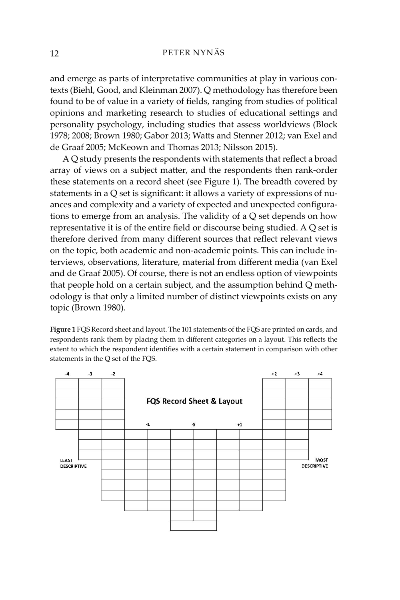and emerge as parts of interpretative communities at play in various contexts (Biehl, Good, and Kleinman 2007). Q methodology has therefore been found to be of value in a variety of fields, ranging from studies of political opinions and marketing research to studies of educational settings and personality psychology, including studies that assess worldviews (Block 1978; 2008; Brown 1980; Gabor 2013; Watts and Stenner 2012; van Exel and de Graaf 2005; McKeown and Thomas 2013; Nilsson 2015).

A Q study presents the respondents with statements that reflect a broad array of views on a subject matter, and the respondents then rank-order these statements on a record sheet (see Figure 1). The breadth covered by statements in a Q set is significant: it allows a variety of expressions of nuances and complexity and a variety of expected and unexpected configurations to emerge from an analysis. The validity of a Q set depends on how representative it is of the entire field or discourse being studied. A Q set is therefore derived from many different sources that reflect relevant views on the topic, both academic and non-academic points. This can include interviews, observations, literature, material from different media (van Exel and de Graaf 2005). Of course, there is not an endless option of viewpoints that people hold on a certain subject, and the assumption behind Q methodology is that only a limited number of distinct viewpoints exists on any topic (Brown 1980).

**Figure 1** FQS Record sheet and layout. The 101 statements of the FQS are printed on cards, and respondents rank them by placing them in different categories on a layout. This reflects the extent to which the respondent identifies with a certain statement in comparison with other statements in the Q set of the FQS.

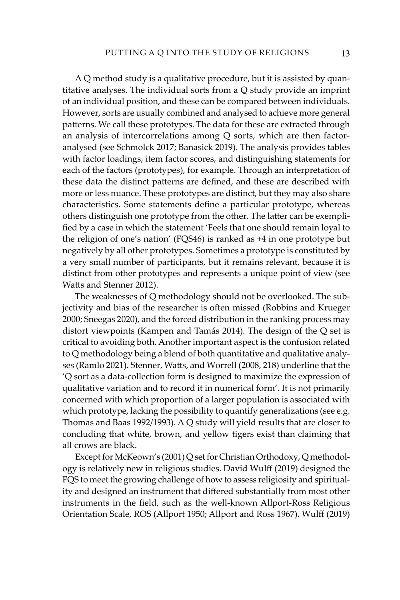A Q method study is a qualitative procedure, but it is assisted by quantitative analyses. The individual sorts from a Q study provide an imprint of an individual position, and these can be compared between individuals. However, sorts are usually combined and analysed to achieve more general patterns. We call these prototypes. The data for these are extracted through an analysis of intercorrelations among Q sorts, which are then factoranalysed (see Schmolck 2017; Banasick 2019). The analysis provides tables with factor loadings, item factor scores, and distinguishing statements for each of the factors (prototypes), for example. Through an interpretation of these data the distinct patterns are defined, and these are described with more or less nuance. These prototypes are distinct, but they may also share characteristics. Some statements define a particular prototype, whereas others distinguish one prototype from the other. The latter can be exemplified by a case in which the statement 'Feels that one should remain loyal to the religion of one's nation' (FQS46) is ranked as +4 in one prototype but negatively by all other prototypes. Sometimes a prototype is constituted by a very small number of participants, but it remains relevant, because it is distinct from other prototypes and represents a unique point of view (see Watts and Stenner 2012).

The weaknesses of Q methodology should not be overlooked. The subjectivity and bias of the researcher is often missed (Robbins and Krueger 2000; Sneegas 2020), and the forced distribution in the ranking process may distort viewpoints (Kampen and Tamás 2014). The design of the Q set is critical to avoiding both. Another important aspect is the confusion related to Q methodology being a blend of both quantitative and qualitative analyses (Ramlo 2021). Stenner, Watts, and Worrell (2008, 218) underline that the 'Q sort as a data-collection form is designed to maximize the expression of qualitative variation and to record it in numerical form'. It is not primarily concerned with which proportion of a larger population is associated with which prototype, lacking the possibility to quantify generalizations (see e.g. Thomas and Baas 1992/1993). A Q study will yield results that are closer to concluding that white, brown, and yellow tigers exist than claiming that all crows are black.

Except for McKeown's (2001) Q set for Christian Orthodoxy, Q methodology is relatively new in religious studies. David Wulff (2019) designed the FQS to meet the growing challenge of how to assess religiosity and spirituality and designed an instrument that differed substantially from most other instruments in the field, such as the well-known Allport-Ross Religious Orientation Scale, ROS (Allport 1950; Allport and Ross 1967). Wulff (2019)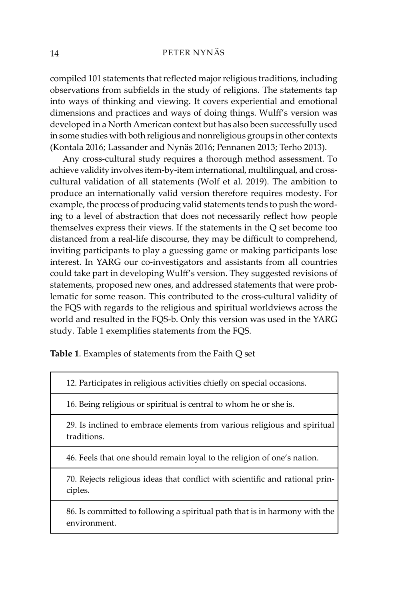compiled 101 statements that reflected major religious traditions, including observations from subfields in the study of religions. The statements tap into ways of thinking and viewing. It covers experiential and emotional dimensions and practices and ways of doing things. Wulff's version was developed in a North American context but has also been successfully used in some studies with both religious and nonreligious groups in other contexts (Kontala 2016; Lassander and Nynäs 2016; Pennanen 2013; Terho 2013).

Any cross-cultural study requires a thorough method assessment. To achieve validity involves item-by-item international, multilingual, and crosscultural validation of all statements (Wolf et al. 2019). The ambition to produce an internationally valid version therefore requires modesty. For example, the process of producing valid statements tends to push the wording to a level of abstraction that does not necessarily reflect how people themselves express their views. If the statements in the Q set become too distanced from a real-life discourse, they may be difficult to comprehend, inviting participants to play a guessing game or making participants lose interest. In YARG our co-investigators and assistants from all countries could take part in developing Wulff's version. They suggested revisions of statements, proposed new ones, and addressed statements that were problematic for some reason. This contributed to the cross-cultural validity of the FQS with regards to the religious and spiritual worldviews across the world and resulted in the FQS-b. Only this version was used in the YARG study. Table 1 exemplifies statements from the FQS.

**Table 1**. Examples of statements from the Faith Q set

12. Participates in religious activities chiefly on special occasions.

16. Being religious or spiritual is central to whom he or she is.

29. Is inclined to embrace elements from various religious and spiritual traditions.

46. Feels that one should remain loyal to the religion of one's nation.

70. Rejects religious ideas that conflict with scientific and rational principles.

86. Is committed to following a spiritual path that is in harmony with the environment.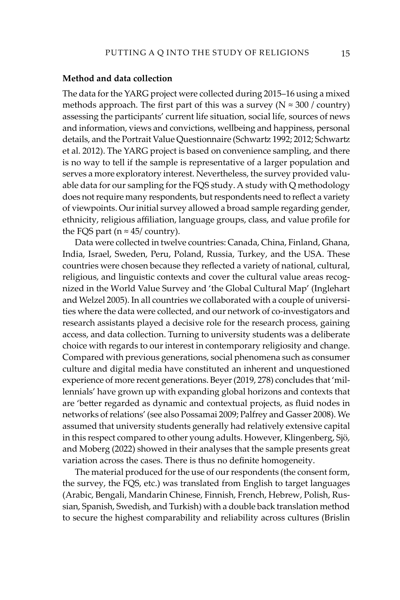# **Method and data collection**

The data for the YARG project were collected during 2015–16 using a mixed methods approach. The first part of this was a survey ( $N \approx 300$  / country) assessing the participants' current life situation, social life, sources of news and information, views and convictions, wellbeing and happiness, personal details, and the Portrait Value Questionnaire (Schwartz 1992; 2012; Schwartz et al. 2012). The YARG project is based on convenience sampling, and there is no way to tell if the sample is representative of a larger population and serves a more exploratory interest. Nevertheless, the survey provided valuable data for our sampling for the FQS study. A study with Q methodology does not require many respondents, but respondents need to reflect a variety of viewpoints. Our initial survey allowed a broad sample regarding gender, ethnicity, religious affiliation, language groups, class, and value profile for the FQS part ( $n \approx 45$ / country).

Data were collected in twelve countries: Canada, China, Finland, Ghana, India, Israel, Sweden, Peru, Poland, Russia, Turkey, and the USA. These countries were chosen because they reflected a variety of national, cultural, religious, and linguistic contexts and cover the cultural value areas recognized in the World Value Survey and 'the Global Cultural Map' (Inglehart and Welzel 2005). In all countries we collaborated with a couple of universities where the data were collected, and our network of co-investigators and research assistants played a decisive role for the research process, gaining access, and data collection. Turning to university students was a deliberate choice with regards to our interest in contemporary religiosity and change. Compared with previous generations, social phenomena such as consumer culture and digital media have constituted an inherent and unquestioned experience of more recent generations. Beyer (2019, 278) concludes that 'millennials' have grown up with expanding global horizons and contexts that are 'better regarded as dynamic and contextual projects, as fluid nodes in networks of relations' (see also Possamai 2009; Palfrey and Gasser 2008). We assumed that university students generally had relatively extensive capital in this respect compared to other young adults. However, Klingenberg, Sjö, and Moberg (2022) showed in their analyses that the sample presents great variation across the cases. There is thus no definite homogeneity.

The material produced for the use of our respondents (the consent form, the survey, the FQS, etc.) was translated from English to target languages (Arabic, Bengali, Mandarin Chinese, Finnish, French, Hebrew, Polish, Russian, Spanish, Swedish, and Turkish) with a double back translation method to secure the highest comparability and reliability across cultures (Brislin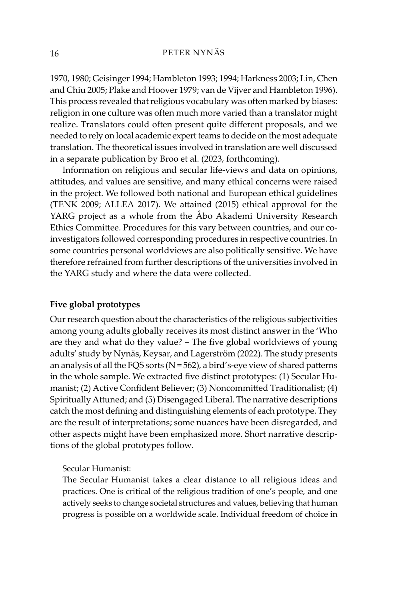1970, 1980; Geisinger 1994; Hambleton 1993; 1994; Harkness 2003; Lin, Chen and Chiu 2005; Plake and Hoover 1979; van de Vijver and Hambleton 1996). This process revealed that religious vocabulary was often marked by biases: religion in one culture was often much more varied than a translator might realize. Translators could often present quite different proposals, and we needed to rely on local academic expert teams to decide on the most adequate translation. The theoretical issues involved in translation are well discussed in a separate publication by Broo et al. (2023, forthcoming).

Information on religious and secular life-views and data on opinions, attitudes, and values are sensitive, and many ethical concerns were raised in the project. We followed both national and European ethical guidelines (TENK 2009; ALLEA 2017). We attained (2015) ethical approval for the YARG project as a whole from the Åbo Akademi University Research Ethics Committee. Procedures for this vary between countries, and our coinvestigators followed corresponding procedures in respective countries. In some countries personal worldviews are also politically sensitive. We have therefore refrained from further descriptions of the universities involved in the YARG study and where the data were collected.

# **Five global prototypes**

Our research question about the characteristics of the religious subjectivities among young adults globally receives its most distinct answer in the 'Who are they and what do they value? – The five global worldviews of young adults' study by Nynäs, Keysar, and Lagerström (2022). The study presents an analysis of all the FQS sorts ( $N = 562$ ), a bird's-eye view of shared patterns in the whole sample. We extracted five distinct prototypes: (1) Secular Humanist; (2) Active Confident Believer; (3) Noncommitted Traditionalist; (4) Spiritually Attuned; and (5) Disengaged Liberal. The narrative descriptions catch the most defining and distinguishing elements of each prototype. They are the result of interpretations; some nuances have been disregarded, and other aspects might have been emphasized more. Short narrative descriptions of the global prototypes follow.

Secular Humanist:

The Secular Humanist takes a clear distance to all religious ideas and practices. One is critical of the religious tradition of one's people, and one actively seeks to change societal structures and values, believing that human progress is possible on a worldwide scale. Individual freedom of choice in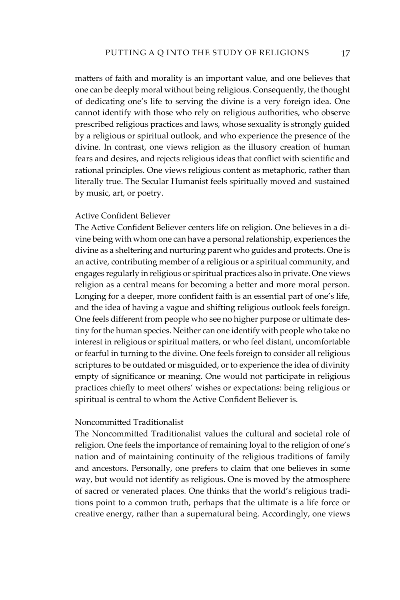matters of faith and morality is an important value, and one believes that one can be deeply moral without being religious. Consequently, the thought of dedicating one's life to serving the divine is a very foreign idea. One cannot identify with those who rely on religious authorities, who observe prescribed religious practices and laws, whose sexuality is strongly guided by a religious or spiritual outlook, and who experience the presence of the divine. In contrast, one views religion as the illusory creation of human fears and desires, and rejects religious ideas that conflict with scientific and rational principles. One views religious content as metaphoric, rather than literally true. The Secular Humanist feels spiritually moved and sustained by music, art, or poetry.

# Active Confident Believer

The Active Confident Believer centers life on religion. One believes in a divine being with whom one can have a personal relationship, experiences the divine as a sheltering and nurturing parent who guides and protects. One is an active, contributing member of a religious or a spiritual community, and engages regularly in religious or spiritual practices also in private. One views religion as a central means for becoming a better and more moral person. Longing for a deeper, more confident faith is an essential part of one's life, and the idea of having a vague and shifting religious outlook feels foreign. One feels different from people who see no higher purpose or ultimate destiny for the human species. Neither can one identify with people who take no interest in religious or spiritual matters, or who feel distant, uncomfortable or fearful in turning to the divine. One feels foreign to consider all religious scriptures to be outdated or misguided, or to experience the idea of divinity empty of significance or meaning. One would not participate in religious practices chiefly to meet others' wishes or expectations: being religious or spiritual is central to whom the Active Confident Believer is.

#### Noncommitted Traditionalist

The Noncommitted Traditionalist values the cultural and societal role of religion. One feels the importance of remaining loyal to the religion of one's nation and of maintaining continuity of the religious traditions of family and ancestors. Personally, one prefers to claim that one believes in some way, but would not identify as religious. One is moved by the atmosphere of sacred or venerated places. One thinks that the world's religious traditions point to a common truth, perhaps that the ultimate is a life force or creative energy, rather than a supernatural being. Accordingly, one views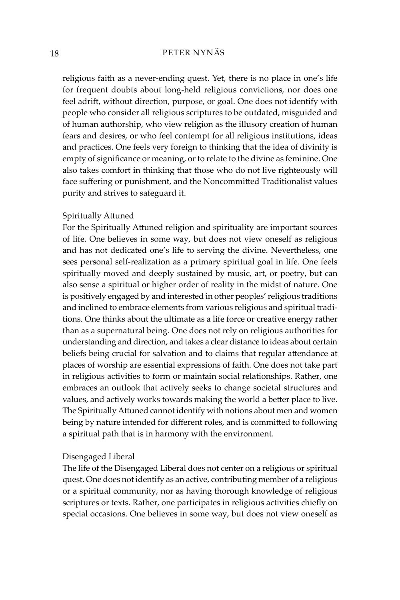religious faith as a never-ending quest. Yet, there is no place in one's life for frequent doubts about long-held religious convictions, nor does one feel adrift, without direction, purpose, or goal. One does not identify with people who consider all religious scriptures to be outdated, misguided and of human authorship, who view religion as the illusory creation of human fears and desires, or who feel contempt for all religious institutions, ideas and practices. One feels very foreign to thinking that the idea of divinity is empty of significance or meaning, or to relate to the divine as feminine. One also takes comfort in thinking that those who do not live righteously will face suffering or punishment, and the Noncommitted Traditionalist values purity and strives to safeguard it.

## Spiritually Attuned

For the Spiritually Attuned religion and spirituality are important sources of life. One believes in some way, but does not view oneself as religious and has not dedicated one's life to serving the divine. Nevertheless, one sees personal self-realization as a primary spiritual goal in life. One feels spiritually moved and deeply sustained by music, art, or poetry, but can also sense a spiritual or higher order of reality in the midst of nature. One is positively engaged by and interested in other peoples' religious traditions and inclined to embrace elements from various religious and spiritual traditions. One thinks about the ultimate as a life force or creative energy rather than as a supernatural being. One does not rely on religious authorities for understanding and direction, and takes a clear distance to ideas about certain beliefs being crucial for salvation and to claims that regular attendance at places of worship are essential expressions of faith. One does not take part in religious activities to form or maintain social relationships. Rather, one embraces an outlook that actively seeks to change societal structures and values, and actively works towards making the world a better place to live. The Spiritually Attuned cannot identify with notions about men and women being by nature intended for different roles, and is committed to following a spiritual path that is in harmony with the environment.

# Disengaged Liberal

The life of the Disengaged Liberal does not center on a religious or spiritual quest. One does not identify as an active, contributing member of a religious or a spiritual community, nor as having thorough knowledge of religious scriptures or texts. Rather, one participates in religious activities chiefly on special occasions. One believes in some way, but does not view oneself as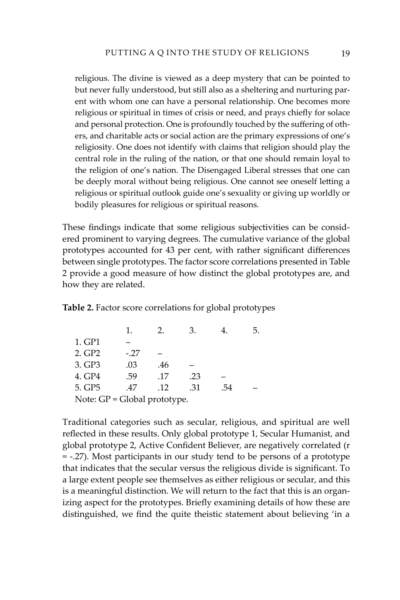religious. The divine is viewed as a deep mystery that can be pointed to but never fully understood, but still also as a sheltering and nurturing parent with whom one can have a personal relationship. One becomes more religious or spiritual in times of crisis or need, and prays chiefly for solace and personal protection. One is profoundly touched by the suffering of others, and charitable acts or social action are the primary expressions of one's religiosity. One does not identify with claims that religion should play the central role in the ruling of the nation, or that one should remain loyal to the religion of one's nation. The Disengaged Liberal stresses that one can be deeply moral without being religious. One cannot see oneself letting a religious or spiritual outlook guide one's sexuality or giving up worldly or bodily pleasures for religious or spiritual reasons.

These findings indicate that some religious subjectivities can be considered prominent to varying degrees. The cumulative variance of the global prototypes accounted for 43 per cent, with rather significant differences between single prototypes. The factor score correlations presented in Table 2 provide a good measure of how distinct the global prototypes are, and how they are related.

**Table 2.** Factor score correlations for global prototypes

|                                |        | $\mathcal{P}$ | 3.  |     | 5. |
|--------------------------------|--------|---------------|-----|-----|----|
| 1. GP1                         |        |               |     |     |    |
| 2. GP2                         | $-.27$ |               |     |     |    |
| 3. GP3                         | .03    | .46           |     |     |    |
| 4. GP4                         | .59    | .17           | .23 |     |    |
| 5. GP5                         | .47    | .12           | .31 | .54 |    |
| Note: $GP = Global$ prototype. |        |               |     |     |    |

Traditional categories such as secular, religious, and spiritual are well reflected in these results. Only global prototype 1, Secular Humanist, and global prototype 2, Active Confident Believer, are negatively correlated (r = -.27). Most participants in our study tend to be persons of a prototype that indicates that the secular versus the religious divide is significant. To a large extent people see themselves as either religious or secular, and this is a meaningful distinction. We will return to the fact that this is an organizing aspect for the prototypes. Briefly examining details of how these are distinguished, we find the quite theistic statement about believing 'in a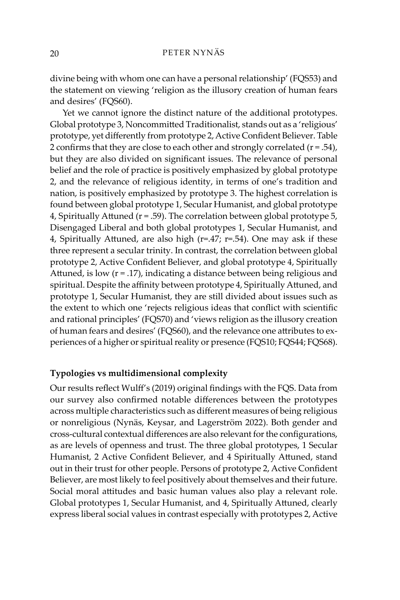divine being with whom one can have a personal relationship' (FQS53) and the statement on viewing 'religion as the illusory creation of human fears and desires' (FQS60).

Yet we cannot ignore the distinct nature of the additional prototypes. Global prototype 3, Noncommitted Traditionalist, stands out as a 'religious' prototype, yet differently from prototype 2, Active Confident Believer. Table 2 confirms that they are close to each other and strongly correlated  $(r = .54)$ , but they are also divided on significant issues. The relevance of personal belief and the role of practice is positively emphasized by global prototype 2, and the relevance of religious identity, in terms of one's tradition and nation, is positively emphasized by prototype 3. The highest correlation is found between global prototype 1, Secular Humanist, and global prototype 4, Spiritually Attuned (r = .59). The correlation between global prototype 5, Disengaged Liberal and both global prototypes 1, Secular Humanist, and 4, Spiritually Attuned, are also high  $(r=.47; r=.54)$ . One may ask if these three represent a secular trinity. In contrast, the correlation between global prototype 2, Active Confident Believer, and global prototype 4, Spiritually Attuned, is low (r = .17), indicating a distance between being religious and spiritual. Despite the affinity between prototype 4, Spiritually Attuned, and prototype 1, Secular Humanist, they are still divided about issues such as the extent to which one 'rejects religious ideas that conflict with scientific and rational principles' (FQS70) and 'views religion as the illusory creation of human fears and desires' (FQS60), and the relevance one attributes to experiences of a higher or spiritual reality or presence (FQS10; FQS44; FQS68).

# **Typologies vs multidimensional complexity**

Our results reflect Wulff's (2019) original findings with the FQS. Data from our survey also confirmed notable differences between the prototypes across multiple characteristics such as different measures of being religious or nonreligious (Nynäs, Keysar, and Lagerström 2022). Both gender and cross-cultural contextual differences are also relevant for the configurations, as are levels of openness and trust. The three global prototypes, 1 Secular Humanist, 2 Active Confident Believer, and 4 Spiritually Attuned, stand out in their trust for other people. Persons of prototype 2, Active Confident Believer, are most likely to feel positively about themselves and their future. Social moral attitudes and basic human values also play a relevant role. Global prototypes 1, Secular Humanist, and 4, Spiritually Attuned, clearly express liberal social values in contrast especially with prototypes 2, Active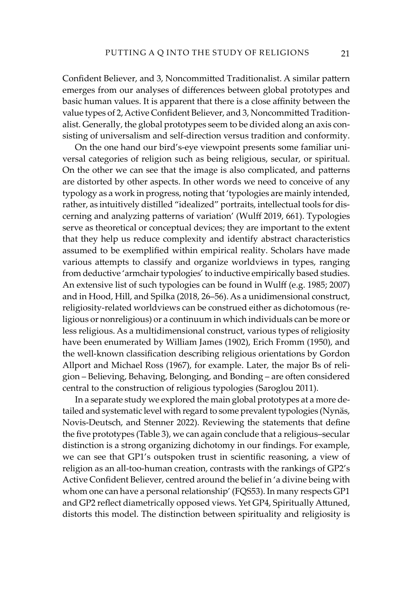Confident Believer, and 3, Noncommitted Traditionalist. A similar pattern emerges from our analyses of differences between global prototypes and basic human values. It is apparent that there is a close affinity between the value types of 2, Active Confident Believer, and 3, Noncommitted Traditionalist. Generally, the global prototypes seem to be divided along an axis consisting of universalism and self-direction versus tradition and conformity.

On the one hand our bird's-eye viewpoint presents some familiar universal categories of religion such as being religious, secular, or spiritual. On the other we can see that the image is also complicated, and patterns are distorted by other aspects. In other words we need to conceive of any typology as a work in progress, noting that 'typologies are mainly intended, rather, as intuitively distilled "idealized" portraits, intellectual tools for discerning and analyzing patterns of variation' (Wulff 2019, 661). Typologies serve as theoretical or conceptual devices; they are important to the extent that they help us reduce complexity and identify abstract characteristics assumed to be exemplified within empirical reality. Scholars have made various attempts to classify and organize worldviews in types, ranging from deductive 'armchair typologies' to inductive empirically based studies. An extensive list of such typologies can be found in Wulff (e.g. 1985; 2007) and in Hood, Hill, and Spilka (2018, 26–56). As a unidimensional construct, religiosity-related worldviews can be construed either as dichotomous (religious or nonreligious) or a continuum in which individuals can be more or less religious. As a multidimensional construct, various types of religiosity have been enumerated by William James (1902), Erich Fromm (1950), and the well-known classification describing religious orientations by Gordon Allport and Michael Ross (1967), for example. Later, the major Bs of religion – Believing, Behaving, Belonging, and Bonding – are often considered central to the construction of religious typologies (Saroglou 2011).

In a separate study we explored the main global prototypes at a more detailed and systematic level with regard to some prevalent typologies (Nynäs, Novis-Deutsch, and Stenner 2022). Reviewing the statements that define the five prototypes (Table 3), we can again conclude that a religious–secular distinction is a strong organizing dichotomy in our findings. For example, we can see that GP1's outspoken trust in scientific reasoning, a view of religion as an all-too-human creation, contrasts with the rankings of GP2's Active Confident Believer, centred around the belief in 'a divine being with whom one can have a personal relationship' (FQS53). In many respects GP1 and GP2 reflect diametrically opposed views. Yet GP4, Spiritually Attuned, distorts this model. The distinction between spirituality and religiosity is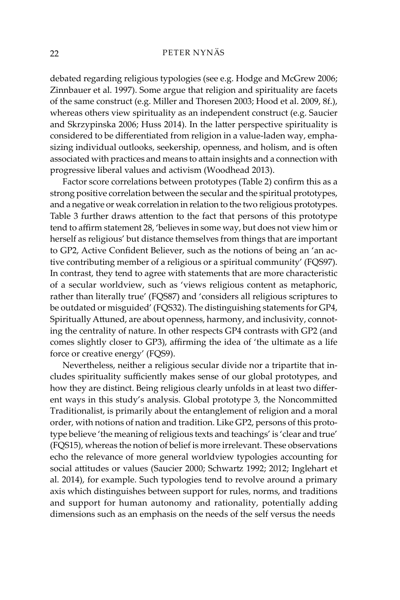debated regarding religious typologies (see e.g. Hodge and McGrew 2006; Zinnbauer et al. 1997). Some argue that religion and spirituality are facets of the same construct (e.g. Miller and Thoresen 2003; Hood et al. 2009, 8f.), whereas others view spirituality as an independent construct (e.g. Saucier and Skrzypinska 2006; Huss 2014). In the latter perspective spirituality is considered to be differentiated from religion in a value-laden way, emphasizing individual outlooks, seekership, openness, and holism, and is often associated with practices and means to attain insights and a connection with progressive liberal values and activism (Woodhead 2013).

Factor score correlations between prototypes (Table 2) confirm this as a strong positive correlation between the secular and the spiritual prototypes, and a negative or weak correlation in relation to the two religious prototypes. Table 3 further draws attention to the fact that persons of this prototype tend to affirm statement 28, 'believes in some way, but does not view him or herself as religious' but distance themselves from things that are important to GP2, Active Confident Believer, such as the notions of being an 'an active contributing member of a religious or a spiritual community' (FQS97). In contrast, they tend to agree with statements that are more characteristic of a secular worldview, such as 'views religious content as metaphoric, rather than literally true' (FQS87) and 'considers all religious scriptures to be outdated or misguided' (FQS32). The distinguishing statements for GP4, Spiritually Attuned, are about openness, harmony, and inclusivity, connoting the centrality of nature. In other respects GP4 contrasts with GP2 (and comes slightly closer to GP3), affirming the idea of 'the ultimate as a life force or creative energy' (FQS9).

Nevertheless, neither a religious secular divide nor a tripartite that includes spirituality sufficiently makes sense of our global prototypes, and how they are distinct. Being religious clearly unfolds in at least two different ways in this study's analysis. Global prototype 3, the Noncommitted Traditionalist, is primarily about the entanglement of religion and a moral order, with notions of nation and tradition. Like GP2, persons of this prototype believe 'the meaning of religious texts and teachings' is 'clear and true' (FQS15), whereas the notion of belief is more irrelevant. These observations echo the relevance of more general worldview typologies accounting for social attitudes or values (Saucier 2000; Schwartz 1992; 2012; Inglehart et al. 2014), for example. Such typologies tend to revolve around a primary axis which distinguishes between support for rules, norms, and traditions and support for human autonomy and rationality, potentially adding dimensions such as an emphasis on the needs of the self versus the needs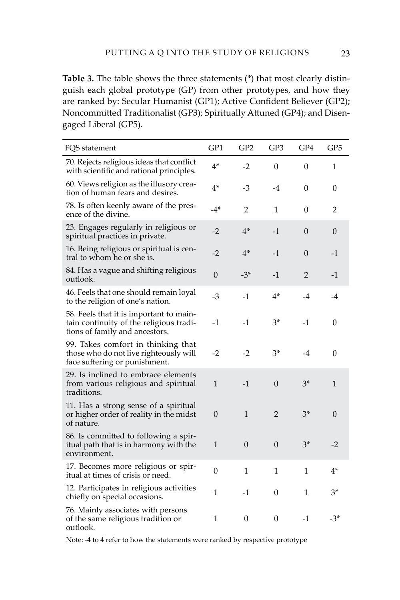**Table 3.** The table shows the three statements (\*) that most clearly distinguish each global prototype (GP) from other prototypes, and how they are ranked by: Secular Humanist (GP1); Active Confident Believer (GP2); Noncommitted Traditionalist (GP3); Spiritually Attuned (GP4); and Disengaged Liberal (GP5).

| FQS statement                                                                                                        | GP1            | GP <sub>2</sub>  | GP3            | GP4      | GP <sub>5</sub> |
|----------------------------------------------------------------------------------------------------------------------|----------------|------------------|----------------|----------|-----------------|
| 70. Rejects religious ideas that conflict<br>with scientific and rational principles.                                | $4*$           | $-2$             | $\Omega$       | $\theta$ | 1               |
| 60. Views religion as the illusory crea-<br>tion of human fears and desires.                                         | $4*$           | $-3$             | -4             | 0        | 0               |
| 78. Is often keenly aware of the pres-<br>ence of the divine.                                                        | -4*            | 2                | 1              | 0        | 2               |
| 23. Engages regularly in religious or<br>spiritual practices in private.                                             | -2             | $4^*$            | $-1$           | 0        | 0               |
| 16. Being religious or spiritual is cen-<br>tral to whom he or she is.                                               | $-2$           | $4*$             | $-1$           | 0        | $-1$            |
| 84. Has a vague and shifting religious<br>outlook.                                                                   | $\overline{0}$ | $-3*$            | $-1$           | 2        | $-1$            |
| 46. Feels that one should remain loyal<br>to the religion of one's nation.                                           | $-3$           | $-1$             | $4*$           | $-4$     | $-4$            |
| 58. Feels that it is important to main-<br>tain continuity of the religious tradi-<br>tions of family and ancestors. | -1             | $-1$             | $3*$           | -1       | 0               |
| 99. Takes comfort in thinking that<br>those who do not live righteously will<br>face suffering or punishment.        | $-2$           | $-2$             | 3*             | -4       | $\Omega$        |
| 29. Is inclined to embrace elements<br>from various religious and spiritual<br>traditions.                           | $\mathbf{1}$   | $-1$             | $\theta$       | $3^*$    | 1               |
| 11. Has a strong sense of a spiritual<br>or higher order of reality in the midst<br>of nature.                       | $\theta$       | $\mathbf{1}$     | $\overline{2}$ | $3*$     | $\Omega$        |
| 86. Is committed to following a spir-<br>itual path that is in harmony with the<br>environment.                      | $\mathbf{1}$   | $\boldsymbol{0}$ | $\mathbf{0}$   | $3*$     | $-2$            |
| 17. Becomes more religious or spir-<br>itual at times of crisis or need.                                             | $\theta$       | 1                | 1              | 1        | 4*              |
| 12. Participates in religious activities<br>chiefly on special occasions.                                            | $\mathbf{1}$   | $-1$             | 0              | 1        | $3*$            |
| 76. Mainly associates with persons<br>of the same religious tradition or<br>outlook.                                 | 1              | 0                | 0              | $-1$     | -3*             |

Note: -4 to 4 refer to how the statements were ranked by respective prototype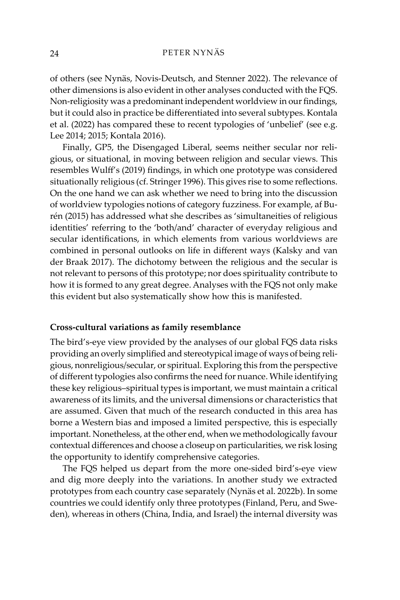of others (see Nynäs, Novis-Deutsch, and Stenner 2022). The relevance of other dimensions is also evident in other analyses conducted with the FQS. Non-religiosity was a predominant independent worldview in our findings, but it could also in practice be differentiated into several subtypes. Kontala et al. (2022) has compared these to recent typologies of 'unbelief' (see e.g. Lee 2014; 2015; Kontala 2016).

Finally, GP5, the Disengaged Liberal, seems neither secular nor religious, or situational, in moving between religion and secular views. This resembles Wulff's (2019) findings, in which one prototype was considered situationally religious (cf. Stringer 1996). This gives rise to some reflections. On the one hand we can ask whether we need to bring into the discussion of worldview typologies notions of category fuzziness. For example, af Burén (2015) has addressed what she describes as 'simultaneities of religious identities' referring to the 'both/and' character of everyday religious and secular identifications, in which elements from various worldviews are combined in personal outlooks on life in different ways (Kalsky and van der Braak 2017). The dichotomy between the religious and the secular is not relevant to persons of this prototype; nor does spirituality contribute to how it is formed to any great degree. Analyses with the FQS not only make this evident but also systematically show how this is manifested.

#### **Cross-cultural variations as family resemblance**

The bird's-eye view provided by the analyses of our global FQS data risks providing an overly simplified and stereotypical image of ways of being religious, nonreligious/secular, or spiritual. Exploring this from the perspective of different typologies also confirms the need for nuance. While identifying these key religious–spiritual types is important, we must maintain a critical awareness of its limits, and the universal dimensions or characteristics that are assumed. Given that much of the research conducted in this area has borne a Western bias and imposed a limited perspective, this is especially important. Nonetheless, at the other end, when we methodologically favour contextual differences and choose a closeup on particularities, we risk losing the opportunity to identify comprehensive categories.

The FQS helped us depart from the more one-sided bird's-eye view and dig more deeply into the variations. In another study we extracted prototypes from each country case separately (Nynäs et al. 2022b). In some countries we could identify only three prototypes (Finland, Peru, and Sweden), whereas in others (China, India, and Israel) the internal diversity was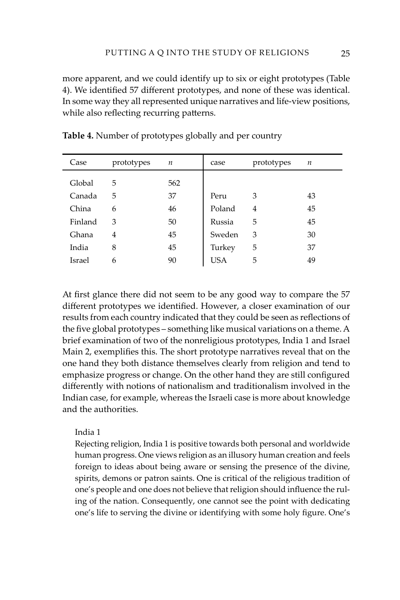more apparent, and we could identify up to six or eight prototypes (Table 4). We identified 57 different prototypes, and none of these was identical. In some way they all represented unique narratives and life-view positions, while also reflecting recurring patterns.

| Case    | prototypes | $\boldsymbol{n}$ | case       | prototypes | n  |
|---------|------------|------------------|------------|------------|----|
| Global  | 5          | 562              |            |            |    |
| Canada  | 5          | 37               | Peru       | 3          | 43 |
| China   | 6          | 46               | Poland     | 4          | 45 |
| Finland | 3          | 50               | Russia     | 5          | 45 |
| Ghana   | 4          | 45               | Sweden     | 3          | 30 |
| India   | 8          | 45               | Turkey     | 5          | 37 |
| Israel  | 6          | 90               | <b>USA</b> | 5          | 49 |

**Table 4.** Number of prototypes globally and per country

At first glance there did not seem to be any good way to compare the 57 different prototypes we identified. However, a closer examination of our results from each country indicated that they could be seen as reflections of the five global prototypes – something like musical variations on a theme. A brief examination of two of the nonreligious prototypes, India 1 and Israel Main 2, exemplifies this. The short prototype narratives reveal that on the one hand they both distance themselves clearly from religion and tend to emphasize progress or change. On the other hand they are still configured differently with notions of nationalism and traditionalism involved in the Indian case, for example, whereas the Israeli case is more about knowledge and the authorities.

# India 1

Rejecting religion, India 1 is positive towards both personal and worldwide human progress. One views religion as an illusory human creation and feels foreign to ideas about being aware or sensing the presence of the divine, spirits, demons or patron saints. One is critical of the religious tradition of one's people and one does not believe that religion should influence the ruling of the nation. Consequently, one cannot see the point with dedicating one's life to serving the divine or identifying with some holy figure. One's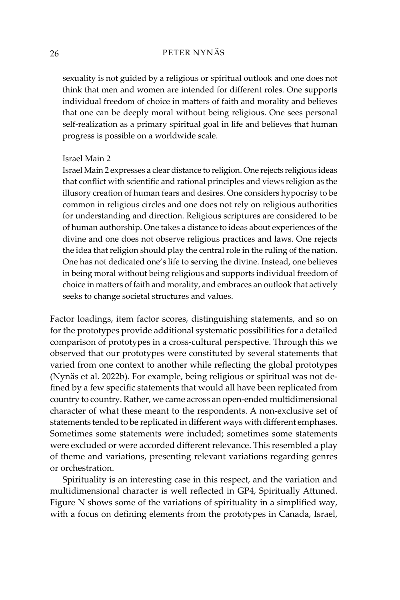sexuality is not guided by a religious or spiritual outlook and one does not think that men and women are intended for different roles. One supports individual freedom of choice in matters of faith and morality and believes that one can be deeply moral without being religious. One sees personal self-realization as a primary spiritual goal in life and believes that human progress is possible on a worldwide scale.

# Israel Main 2

Israel Main 2 expresses a clear distance to religion. One rejects religious ideas that conflict with scientific and rational principles and views religion as the illusory creation of human fears and desires. One considers hypocrisy to be common in religious circles and one does not rely on religious authorities for understanding and direction. Religious scriptures are considered to be of human authorship. One takes a distance to ideas about experiences of the divine and one does not observe religious practices and laws. One rejects the idea that religion should play the central role in the ruling of the nation. One has not dedicated one's life to serving the divine. Instead, one believes in being moral without being religious and supports individual freedom of choice in matters of faith and morality, and embraces an outlook that actively seeks to change societal structures and values.

Factor loadings, item factor scores, distinguishing statements, and so on for the prototypes provide additional systematic possibilities for a detailed comparison of prototypes in a cross-cultural perspective. Through this we observed that our prototypes were constituted by several statements that varied from one context to another while reflecting the global prototypes (Nynäs et al. 2022b). For example, being religious or spiritual was not defined by a few specific statements that would all have been replicated from country to country. Rather, we came across an open-ended multidimensional character of what these meant to the respondents. A non-exclusive set of statements tended to be replicated in different ways with different emphases. Sometimes some statements were included; sometimes some statements were excluded or were accorded different relevance. This resembled a play of theme and variations, presenting relevant variations regarding genres or orchestration.

Spirituality is an interesting case in this respect, and the variation and multidimensional character is well reflected in GP4, Spiritually Attuned. Figure N shows some of the variations of spirituality in a simplified way, with a focus on defining elements from the prototypes in Canada, Israel,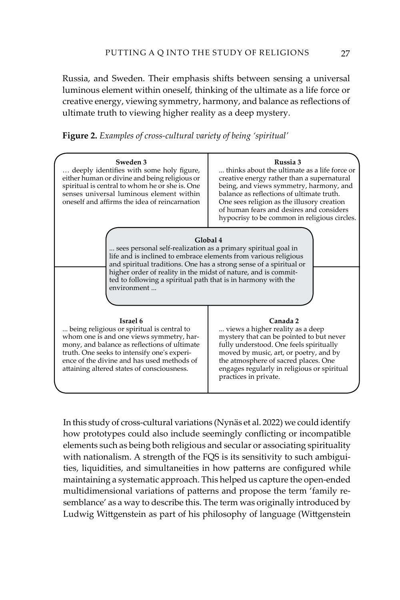Russia, and Sweden. Their emphasis shifts between sensing a universal luminous element within oneself, thinking of the ultimate as a life force or creative energy, viewing symmetry, harmony, and balance as reflections of ultimate truth to viewing higher reality as a deep mystery.

| Sweden 3<br>deeply identifies with some holy figure,<br>either human or divine and being religious or<br>spiritual is central to whom he or she is. One<br>senses universal luminous element within<br>oneself and affirms the idea of reincarnation                                                                                                                 | Russia 3<br>thinks about the ultimate as a life force or<br>creative energy rather than a supernatural<br>being, and views symmetry, harmony, and<br>balance as reflections of ultimate truth.<br>One sees religion as the illusory creation<br>of human fears and desires and considers<br>hypocrisy to be common in religious circles. |  |  |  |
|----------------------------------------------------------------------------------------------------------------------------------------------------------------------------------------------------------------------------------------------------------------------------------------------------------------------------------------------------------------------|------------------------------------------------------------------------------------------------------------------------------------------------------------------------------------------------------------------------------------------------------------------------------------------------------------------------------------------|--|--|--|
| Global 4<br>sees personal self-realization as a primary spiritual goal in<br>life and is inclined to embrace elements from various religious<br>and spiritual traditions. One has a strong sense of a spiritual or<br>higher order of reality in the midst of nature, and is commit-<br>ted to following a spiritual path that is in harmony with the<br>environment |                                                                                                                                                                                                                                                                                                                                          |  |  |  |
| Israel 6<br>being religious or spiritual is central to<br>whom one is and one views symmetry, har-<br>mony, and balance as reflections of ultimate<br>truth. One seeks to intensify one's experi-<br>ence of the divine and has used methods of<br>attaining altered states of consciousness.                                                                        | Canada 2<br>views a higher reality as a deep<br>mystery that can be pointed to but never<br>fully understood. One feels spiritually<br>moved by music, art, or poetry, and by<br>the atmosphere of sacred places. One<br>engages regularly in religious or spiritual<br>practices in private.                                            |  |  |  |

In this study of cross-cultural variations (Nynäs et al. 2022) we could identify how prototypes could also include seemingly conflicting or incompatible elements such as being both religious and secular or associating spirituality with nationalism. A strength of the FQS is its sensitivity to such ambiguities, liquidities, and simultaneities in how patterns are configured while maintaining a systematic approach. This helped us capture the open-ended multidimensional variations of patterns and propose the term 'family resemblance' as a way to describe this. The term was originally introduced by Ludwig Wittgenstein as part of his philosophy of language (Wittgenstein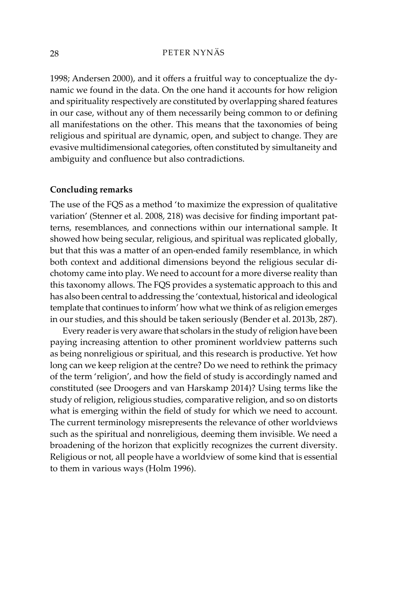1998; Andersen 2000), and it offers a fruitful way to conceptualize the dynamic we found in the data. On the one hand it accounts for how religion and spirituality respectively are constituted by overlapping shared features in our case, without any of them necessarily being common to or defining all manifestations on the other. This means that the taxonomies of being religious and spiritual are dynamic, open, and subject to change. They are evasive multidimensional categories, often constituted by simultaneity and ambiguity and confluence but also contradictions.

# **Concluding remarks**

The use of the FQS as a method 'to maximize the expression of qualitative variation' (Stenner et al. 2008, 218) was decisive for finding important patterns, resemblances, and connections within our international sample. It showed how being secular, religious, and spiritual was replicated globally, but that this was a matter of an open-ended family resemblance, in which both context and additional dimensions beyond the religious secular dichotomy came into play. We need to account for a more diverse reality than this taxonomy allows. The FQS provides a systematic approach to this and has also been central to addressing the 'contextual, historical and ideological template that continues to inform' how what we think of as religion emerges in our studies, and this should be taken seriously (Bender et al. 2013b, 287).

Every reader is very aware that scholars in the study of religion have been paying increasing attention to other prominent worldview patterns such as being nonreligious or spiritual, and this research is productive. Yet how long can we keep religion at the centre? Do we need to rethink the primacy of the term 'religion', and how the field of study is accordingly named and constituted (see Droogers and van Harskamp 2014)? Using terms like the study of religion, religious studies, comparative religion, and so on distorts what is emerging within the field of study for which we need to account. The current terminology misrepresents the relevance of other worldviews such as the spiritual and nonreligious, deeming them invisible. We need a broadening of the horizon that explicitly recognizes the current diversity. Religious or not, all people have a worldview of some kind that is essential to them in various ways (Holm 1996).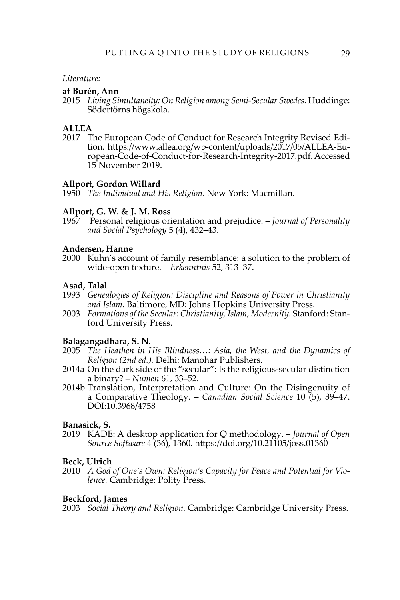#### *Literature:*

# **af Burén, Ann**

2015 *Living Simultaneity: On Religion among Semi-Secular Swedes.* Huddinge: Södertörns högskola.

# **ALLEA**

2017 The European Code of Conduct for Research Integrity Revised Edition. [https://www.allea.org/wp-content/uploads/2017/05/ALLEA-Eu](https://www.allea.org/wp-content/uploads/2017/05/ALLEA-European-Code-of-Conduct-for-Research-Integrity-2017.pdf)[ropean-Code-of-Conduct-for-Research-Integrity-2017.pdf](https://www.allea.org/wp-content/uploads/2017/05/ALLEA-European-Code-of-Conduct-for-Research-Integrity-2017.pdf). Accessed 15 November 2019.

# **Allport, Gordon Willard**

1950 *The Individual and His Religion*. New York: Macmillan.

# **Allport, G. W. & J. M. Ross**

1967 Personal religious orientation and prejudice. – *Journal of Personality and Social Psychology* 5 (4), 432–43.

# **Andersen, Hanne**

2000 Kuhn's account of family resemblance: a solution to the problem of wide-open texture. – *Erkenntnis* 52, 313–37.

# **Asad, Talal**

- 1993 *Genealogies of Religion: Discipline and Reasons of Power in Christianity and Islam*. Baltimore, MD: Johns Hopkins University Press.
- 2003 *Formations of the Secular: Christianity, Islam, Modernity.* Stanford: Stanford University Press.

#### **Balagangadhara, S. N.**

- 2005 *The Heathen in His Blindness…: Asia, the West, and the Dynamics of Religion (2nd ed.).* Delhi: Manohar Publishers.
- 2014a On the dark side of the "secular": Is the religious-secular distinction a binary? – *Numen* 61, 33–52.
- 2014b Translation, Interpretation and Culture: On the Disingenuity of a Comparative Theology. – *Canadian Social Science* 10 (5), 39–47. DOI:10.3968/4758

#### **Banasick, S.**

2019 KADE: A desktop application for Q methodology. – *Journal of Open Source Software* 4 (36), 1360. <https://doi.org/10.21105/joss.01360>

#### **Beck, Ulrich**

2010 *A God of One's Own: Religion's Capacity for Peace and Potential for Violence.* Cambridge: Polity Press.

#### **Beckford, James**

2003 *Social Theory and Religion.* Cambridge: Cambridge University Press.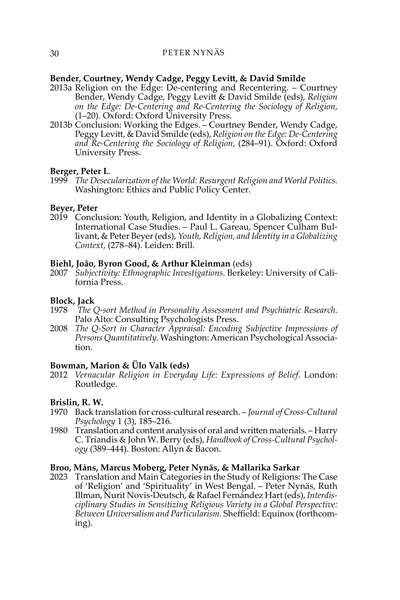# **Bender, Courtney, Wendy Cadge, Peggy Levitt, & David Smilde**

- 2013a Religion on the Edge: De-centering and Recentering. Courtney Bender, Wendy Cadge, Peggy Levitt & David Smilde (eds), *Religion on the Edge: De-Centering and Re-Centering the Sociology of Religion*, (1–20)*.* Oxford: Oxford University Press.
- 2013b Conclusion: Working the Edges. Courtney Bender, Wendy Cadge, Peggy Levitt, & David Smilde (eds), *Religion on the Edge: De-Centering and Re-Centering the Sociology of Religion*, (284–91). Oxford: Oxford University Press.

# **Berger, Peter L**.

1999 *The Desecularization of the World: Resurgent Religion and World Politics.* Washington: Ethics and Public Policy Center.

# **Beyer, Peter**

2019 Conclusion: Youth, Religion, and Identity in a Globalizing Context: International Case Studies. – Paul L. Gareau, Spencer Culham Bullivant, & Peter Beyer (eds), *Youth, Religion, and Identity in a Globalizing Context*, (278–84)*.* Leiden: Brill.

# **Biehl, João, Byron Good, & Arthur Kleinman** (eds)

2007 *Subjectivity: Ethnographic Investigations*. Berkeley: University of California Press.

#### **Block, Jack**

- 1978 *The Q-sort Method in Personality Assessment and Psychiatric Research*. Palo Alto: Consulting Psychologists Press.
- 2008 *The Q-Sort in Character Appraisal: Encoding Subjective Impressions of Persons Quantitatively*. Washington: American Psychological Association.

# **Bowman, Marion & Ülo Valk (eds)**

2012 *Vernacular Religion in Everyday Life: Expressions of Belief.* London: Routledge.

# **Brislin, R. W.**

- 1970 Back translation for cross-cultural research. *Journal of Cross-Cultural Psychology* 1 (3), 185–216.
- 1980 Translation and content analysis of oral and written materials. Harry C. Triandis & John W. Berry (eds), *Handbook of Cross-Cultural Psychology* (389–444). Boston: Allyn & Bacon.

# **Broo, Måns, Marcus Moberg, Peter Nynäs, & Mallarika Sarkar**

2023 Translation and Main Categories in the Study of Religions: The Case of 'Religion' and 'Spirituality' in West Bengal. – Peter Nynäs, Ruth Illman, Nurit Novis-Deutsch, & Rafael Fernández Hart (eds), *Interdisciplinary Studies in Sensitizing Religious Variety in a Global Perspective: Between Universalism and Particularism.* Sheffield: Equinox (forthcoming).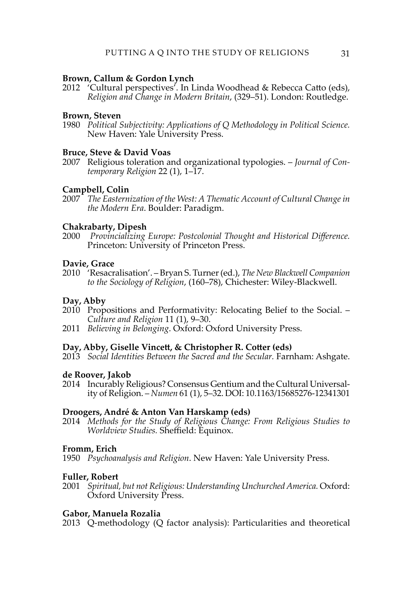# **Brown, Callum & Gordon Lynch**

2012 'Cultural perspectives'. In Linda Woodhead & Rebecca Catto (eds), *Religion and Change in Modern Britain*, (329–51). London: Routledge.

#### **Brown, Steven**

1980 *Political Subjectivity: Applications of Q Methodology in Political Science.* New Haven: Yale University Press.

# **Bruce, Steve & David Voas**

2007 Religious toleration and organizational typologies. – *Journal of Contemporary Religion* 22 (1), 1–17.

#### **Campbell, Colin**

2007 *The Easternization of the West: A Thematic Account of Cultural Change in the Modern Era*. Boulder: Paradigm.

# **Chakrabarty, Dipesh**

2000 *Provincializing Europe: Postcolonial Thought and Historical Difference.* Princeton: University of Princeton Press.

# **Davie, Grace**

2010 'Resacralisation'. – Bryan S. Turner (ed.), *The New Blackwell Companion to the Sociology of Religion*, (160–78), Chichester: Wiley-Blackwell.

#### **Day, Abby**

- 2010 Propositions and Performativity: Relocating Belief to the Social. *Culture and Religion* 11 (1), 9–30.
- 2011 *Believing in Belonging*. Oxford: Oxford University Press.

#### **Day, Abby, Giselle Vincett, & Christopher R. Cotter (eds)**

2013 *Social Identities Between the Sacred and the Secular.* Farnham: Ashgate.

#### **de Roover, Jakob**

2014 Incurably Religious? Consensus Gentium and the Cultural Universality of Religion. – *Numen* 61 (1), 5–32. DOI: 10.1163/15685276-12341301

#### **Droogers, André & Anton Van Harskamp (eds)**

2014 *Methods for the Study of Religious Change: From Religious Studies to Worldview Studies.* Sheffield: Equinox.

#### **Fromm, Erich**

1950 *Psychoanalysis and Religion*. New Haven: Yale University Press.

#### **Fuller, Robert**

2001 *Spiritual, but not Religious: Understanding Unchurched America.* Oxford: Oxford University Press.

# **Gabor, Manuela Rozalia**

2013 Q-methodology (Q factor analysis): Particularities and theoretical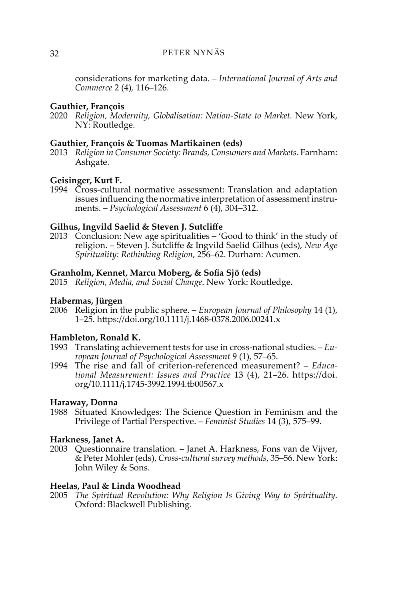considerations for marketing data. – *International Journal of Arts and Commerce* 2 (4)*,* 116–126.

# **Gauthier, François**

2020 *Religion, Modernity, Globalisation: Nation-State to Market.* New York, NY: Routledge.

# **Gauthier, François & Tuomas Martikainen (eds)**

2013 *Religion in Consumer Society: Brands, Consumers and Markets*. Farnham: Ashgate.

# **Geisinger, Kurt F.**

1994 Cross-cultural normative assessment: Translation and adaptation issues influencing the normative interpretation of assessment instruments. – *Psychological Assessment* 6 (4), 304–312.

# **Gilhus, Ingvild Saelid & Steven J. Sutcliffe**

2013 Conclusion: New age spiritualities – 'Good to think' in the study of religion. – Steven J. Sutcliffe & Ingvild Saelid Gilhus (eds), *New Age Spirituality: Rethinking Religion*, 256–62. Durham: Acumen.

#### **Granholm, Kennet, Marcu Moberg, & Sofia Sjö (eds)**

2015 *Religion, Media, and Social Change*. New York: Routledge.

#### **Habermas, Jürgen**

2006 Religion in the public sphere. – *European Journal of Philosophy* 14 (1), 1–25. https://doi.org/10.1111/j.1468-0378.2006.00241.x

# **Hambleton, Ronald K.**

- 1993 Translating achievement tests for use in cross-national studies. *European Journal of Psychological Assessment* 9 (1), 57–65.
- 1994 The rise and fall of criterion-referenced measurement? *Educational Measurement: Issues and Practice* 13 (4), 21–26. https://doi. org/10.1111/j.1745-3992.1994.tb00567.x

# **Haraway, Donna**

1988 Situated Knowledges: The Science Question in Feminism and the Privilege of Partial Perspective. – *Feminist Studies* [14 \(3\),](https://www.jstor.org/stable/i359114) 575–99.

# **Harkness, Janet A.**

2003 Questionnaire translation. – Janet A. Harkness, Fons van de Vijver, & Peter Mohler (eds), *Cross-cultural survey methods*, 35–56. New York: John Wiley & Sons.

# **Heelas, Paul & Linda Woodhead**

2005 *The Spiritual Revolution: Why Religion Is Giving Way to Spirituality.* Oxford: Blackwell Publishing.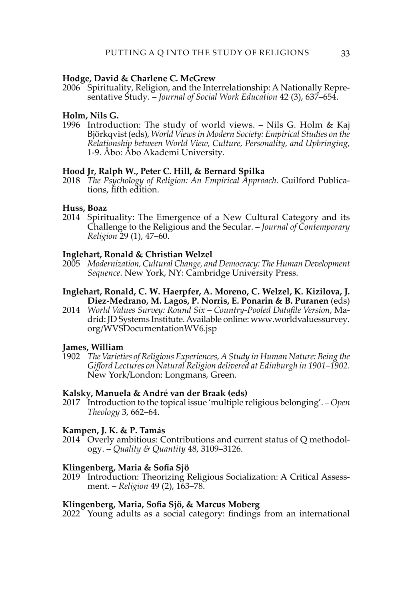# **Hodge, David & Charlene C. McGrew**

2006 Spirituality, Religion, and the Interrelationship: A Nationally Representative Study. – *Journal of Social Work Education* 42 (3), 637–654.

#### **Holm, Nils G.**

1996 Introduction: The study of world views. – Nils G. Holm & Kaj Björkqvist (eds), *World Views in Modern Society: Empirical Studies on the Relationship between World View, Culture, Personality, and Upbringing*, 1-9. Åbo: Åbo Akademi University.

# **Hood Jr, Ralph W., Peter C. Hill, & Bernard Spilka**

2018 *The Psychology of Religion: An Empirical Approach.* Guilford Publications, fifth edition.

# **Huss, Boaz**

2014 Spirituality: The Emergence of a New Cultural Category and its Challenge to the Religious and the Secular. – *Journal of Contemporary Religion* 29 (1), 47–60.

# **Inglehart, Ronald & Christian Welzel**

- 2005 *Modernization, Cultural Change, and Democracy: The Human Development Sequence*. New York, NY: Cambridge University Press.
- **Inglehart, Ronald, C. W. Haerpfer, A. Moreno, C. Welzel, K. Kizilova, J. Diez-Medrano, M. Lagos, P. Norris, E. Ponarin & B. Puranen** (eds)
- 2014 *World Values Survey: Round Six Country-Pooled Datafile Version*, Madrid: JD Systems Institute. Available online: www.worldvaluessurvey. org/WVSDocumentationWV6.jsp

#### **James, William**

1902 *The Varieties of Religious Experiences, A Study in Human Nature: Being the Gifford Lectures on Natural Religion delivered at Edinburgh in 1901–1902*. New York/London: Longmans, Green.

# **Kalsky, Manuela & André van der Braak (eds)**

2017 Introduction to the topical issue 'multiple religious belonging'. – *Open Theology* 3, 662–64.

# **Kampen, J. K. & P. Tamás**

2014 Overly ambitious: Contributions and current status of Q methodology. – *Quality & Quantity* 48, 3109–3126.

#### **Klingenberg, Maria & Sofia Sjö**

2019 Introduction: Theorizing Religious Socialization: A Critical Assessment. – *Religion* 49 (2), 163–78.

# **Klingenberg, Maria, Sofia Sjö, & Marcus Moberg**

2022 Young adults as a social category: findings from an international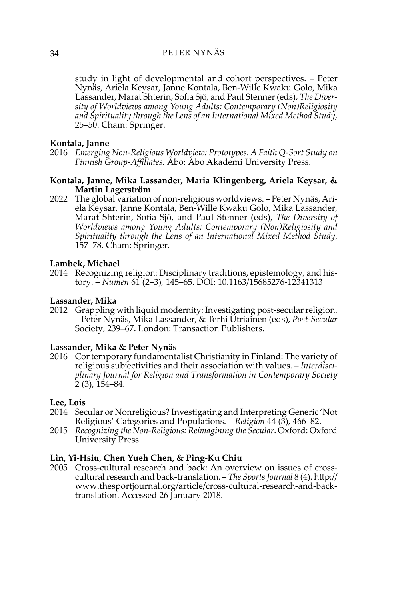study in light of developmental and cohort perspectives. – Peter Nynäs, Ariela Keysar, Janne Kontala, Ben-Wille Kwaku Golo, Mika Lassander, Marat Shterin, Sofia Sjö, and Paul Stenner (eds), *The Diversity of Worldviews among Young Adults: Contemporary (Non)Religiosity and Spirituality through the Lens of an International Mixed Method Study*, 25–50. Cham: Springer.

# **Kontala, Janne**

2016 *Emerging Non-Religious Worldview: Prototypes. A Faith Q-Sort Study on Finnish Group-Affiliates.* Åbo: Åbo Akademi University Press.

# **Kontala, Janne, Mika Lassander, Maria Klingenberg, Ariela Keysar, & Martin Lagerström**

2022 The global variation of non-religious worldviews. – Peter Nynäs, Ariela Keysar, Janne Kontala, Ben-Wille Kwaku Golo, Mika Lassander, Marat Shterin, Sofia Sjö, and Paul Stenner (eds), *The Diversity of Worldviews among Young Adults: Contemporary (Non)Religiosity and Spirituality through the Lens of an International Mixed Method Study*, 157–78. Cham: Springer.

# **Lambek, Michael**

2014 Recognizing religion: Disciplinary traditions, epistemology, and history. – *Numen* 61 (2–3)*,* 145–65. DOI: 10.1163/15685276-12341313

# **Lassander, Mika**

2012 Grappling with liquid modernity: Investigating post-secular religion. – Peter Nynäs, Mika Lassander, & Terhi Utriainen (eds), *Post-Secular*  Society, 239–67. London: Transaction Publishers.

#### **Lassander, Mika & Peter Nynäs**

2016 Contemporary fundamentalist Christianity in Finland: The variety of religious subjectivities and their association with values. – *Interdisciplinary Journal for Religion and Transformation in Contemporary Society*  2 (3), 154–84.

# **Lee, Lois**

- 2014 Secular or Nonreligious? Investigating and Interpreting Generic 'Not Religious' Categories and Populations. – *Religion* 44 (3), 466–82.
- 2015 *Recognizing the Non-Religious: Reimagining the Secular*. Oxford: Oxford University Press.

# **Lin, Yi-Hsiu, Chen Yueh Chen, & Ping-Ku Chiu**

2005 Cross-cultural research and back: An overview on issues of crosscultural research and back-translation. – *The Sports Journal* 8 (4). [http://](http://www.thesportjournal.org/article/cross-cultural-research-and-back-translation) [www.thesportjournal.org/article/cross-cultural-research-and-back](http://www.thesportjournal.org/article/cross-cultural-research-and-back-translation)[translation.](http://www.thesportjournal.org/article/cross-cultural-research-and-back-translation) Accessed 26 January 2018.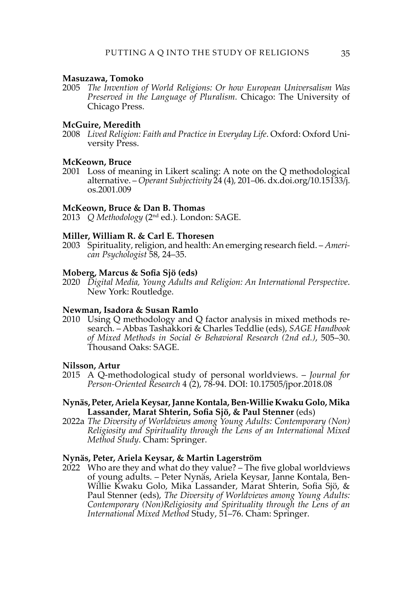#### **Masuzawa, Tomoko**

2005 *The Invention of World Religions: Or how European Universalism Was Preserved in the Language of Pluralism.* Chicago: The University of Chicago Press.

# **McGuire, Meredith**

2008 *Lived Religion: Faith and Practice in Everyday Life*. Oxford: Oxford University Press.

#### **McKeown, Bruce**

2001 Loss of meaning in Likert scaling: A note on the Q methodological alternative. – *Operant Subjectivity* 24 (4)*,* 201–06. dx.doi.org/10.15133/j. os.2001.009

#### **McKeown, Bruce & Dan B. Thomas**

2013 *Q Methodology* (2nd ed.)*.* London: SAGE.

# **Miller, William R. & Carl E. Thoresen**

2003 Spirituality, religion, and health: An emerging research field. – *American Psychologist* 58, 24–35.

#### **Moberg, Marcus & Sofia Sjö (eds)**

2020 *Digital Media, Young Adults and Religion: An International Perspective*. New York: Routledge.

# **Newman, Isadora & Susan Ramlo**

2010 Using Q methodology and Q factor analysis in mixed methods research. – Abbas Tashakkori & Charles Teddlie (eds), *SAGE Handbook of Mixed Methods in Social & Behavioral Research (2nd ed.)*, 505–30. Thousand Oaks: SAGE.

#### **Nilsson, Artur**

2015 A Q-methodological study of personal worldviews. – *Journal for Person-Oriented Research* 4 (2), 78-94. DOI: 10.17505/jpor.2018.08

#### **Nynäs, Peter, Ariela Keysar, Janne Kontala, Ben-Willie Kwaku Golo, Mika Lassander, Marat Shterin, Sofia Sjö, & Paul Stenner** (eds)

2022a *The Diversity of Worldviews among Young Adults: Contemporary (Non) Religiosity and Spirituality through the Lens of an International Mixed Method Study*. Cham: Springer.

#### **Nynäs, Peter, Ariela Keysar, & Martin Lagerström**

2022 Who are they and what do they value? – The five global worldviews of young adults. – Peter Nynäs, Ariela Keysar, Janne Kontala, Ben-Willie Kwaku Golo, Mika Lassander, Marat Shterin, Sofia Sjö, & Paul Stenner (eds), *The Diversity of Worldviews among Young Adults: Contemporary (Non)Religiosity and Spirituality through the Lens of an International Mixed Method* Study, 51–76. Cham: Springer.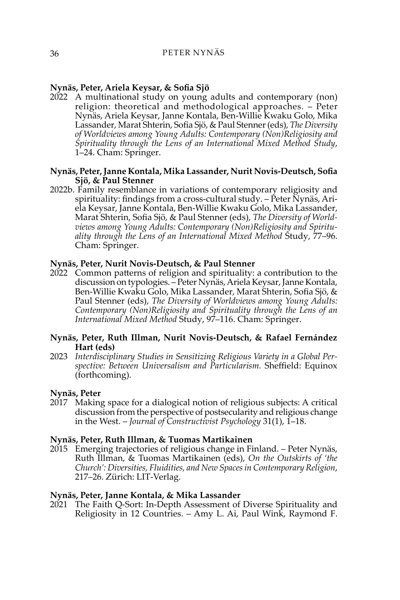# **Nynäs, Peter, Ariela Keysar, & Sofia Sjö**

2022 A multinational study on young adults and contemporary (non) religion: theoretical and methodological approaches. – Peter Nynäs, Ariela Keysar, Janne Kontala, Ben-Willie Kwaku Golo, Mika Lassander, Marat Shterin, Sofia Sjö, & Paul Stenner (eds), *The Diversity of Worldviews among Young Adults: Contemporary (Non)Religiosity and Spirituality through the Lens of an International Mixed Method Study*, 1–24. Cham: Springer.

# **Nynäs, Peter, Janne Kontala, Mika Lassander, Nurit Novis-Deutsch, Sofia Sjö, & Paul Stenner**

2022b. Family resemblance in variations of contemporary religiosity and spirituality: findings from a cross-cultural study.  $-\tilde{P}$ eter Nynäs, Ariela Keysar, Janne Kontala, Ben-Willie Kwaku Golo, Mika Lassander, Marat Shterin, Sofia Sjö, & Paul Stenner (eds), *The Diversity of Worldviews among Young Adults: Contemporary (Non)Religiosity and Spirituality through the Lens of an International Mixed Method* Study, 77–96. Cham: Springer.

#### **Nynäs, Peter, Nurit Novis-Deutsch, & Paul Stenner**

2022 Common patterns of religion and spirituality: a contribution to the discussion on typologies. – Peter Nynäs, Ariela Keysar, Janne Kontala, Ben-Willie Kwaku Golo, Mika Lassander, Marat Shterin, Sofia Sjö, & Paul Stenner (eds), *The Diversity of Worldviews among Young Adults: Contemporary (Non)Religiosity and Spirituality through the Lens of an International Mixed Method* Study, 97–116. Cham: Springer.

# **Nynäs, Peter, Ruth Illman, Nurit Novis-Deutsch, & Rafael Fernández Hart (eds)**

2023 *Interdisciplinary Studies in Sensitizing Religious Variety in a Global Perspective: Between Universalism and Particularism.* Sheffield: Equinox (forthcoming).

# **Nynäs, Peter**

2017 Making space for a dialogical notion of religious subjects: A critical discussion from the perspective of postsecularity and religious change in the West. – *Journal of Constructivist Psychology* 31(1), 1–18.

# **Nynäs, Peter, Ruth Illman, & Tuomas Martikainen**

2015 Emerging trajectories of religious change in Finland. – Peter Nynäs, Ruth Illman, & Tuomas Martikainen (eds), *On the Outskirts of 'the Church': Diversities, Fluidities, and New Spaces in Contemporary Religion*, 217–26. Zürich: LIT-Verlag.

#### **Nynäs, Peter, Janne Kontala, & Mika Lassander**

2021 The Faith Q-Sort: In-Depth Assessment of Diverse Spirituality and Religiosity in 12 Countries. – Amy L. Ai, Paul Wink, Raymond F.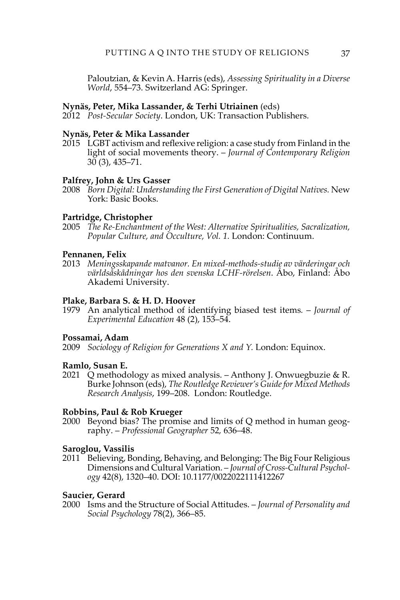Paloutzian, & Kevin A. Harris (eds), *Assessing Spirituality in a Diverse World*, 554–73. Switzerland AG: Springer.

#### **Nynäs, Peter, Mika Lassander, & Terhi Utriainen** (eds)

2012 *Post-Secular Society*. London, UK: Transaction Publishers.

#### **Nynäs, Peter & Mika Lassander**

2015 LGBT activism and reflexive religion: a case study from Finland in the light of social movements theory. – *Journal of Contemporary Religion*   $30(3)$ ,  $435-71$ .

#### **Palfrey, John & Urs Gasser**

2008 *Born Digital: Understanding the First Generation of Digital Natives.* New York: Basic Books.

# **Partridge, Christopher**

2005 *The Re-Enchantment of the West: Alternative Spiritualities, Sacralization, Popular Culture, and Occulture, Vol. 1.* London: Continuum.

#### **Pennanen, Felix**

2013 *Meningsskapande matvanor. En mixed-methods-studie av värderingar och världsåskådningar hos den svenska LCHF-rörelsen*. Åbo, Finland: Åbo Akademi University.

# **Plake, Barbara S. & H. D. Hoover**

1979 An analytical method of identifying biased test items*.* – *Journal of Experimental Education* 48 (2), 153–54.

# **Possamai, Adam**

2009 *Sociology of Religion for Generations X and Y.* London: Equinox.

#### **Ramlo, Susan E.**

2021 Q methodology as mixed analysis. – Anthony J. Onwuegbuzie & R. Burke Johnson (eds), *The Routledge Reviewer's Guide for Mixed Methods Research Analysis*, 199–208. London: Routledge.

# **Robbins, Paul & Rob Krueger**

2000 Beyond bias? The promise and limits of Q method in human geography. – *Professional Geographer* 52*,* 636–48.

# **Saroglou, Vassilis**

2011 Believing, Bonding, Behaving, and Belonging: The Big Four Religious Dimensions and Cultural Variation. – *Journal of Cross-Cultural Psychology* 42(8), 1320–40. DOI: 10.1177/0022022111412267

#### **Saucier, Gerard**

2000 Isms and the Structure of Social Attitudes. – *Journal of Personality and Social Psychology* 78(2), 366–85.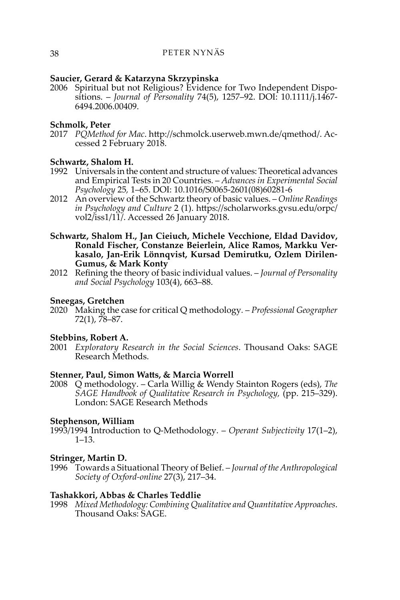# **Saucier, Gerard & Katarzyna Skrzypinska**

2006 Spiritual but not Religious? Evidence for Two Independent Dispositions. – *Journal of Personality* 74(5), 1257–92. DOI: 10.1111/j.1467- 6494.2006.00409.

# **Schmolk, Peter**

2017 *PQMethod for Mac*. [http://schmolck.userweb.mwn.de/qmethod/.](http://schmolck.userweb.mwn.de/qmethod/) Accessed 2 February 2018.

# **Schwartz, Shalom H.**

- 1992 Universals in the content and structure of values: Theoretical advances and Empirical Tests in 20 Countries. – *Advances in Experimental Social Psychology* 25*,* 1–65. DOI: 10.1016/S0065-2601(08)60281-6
- 2012 An overview of the Schwartz theory of basic values. *Online Readings in Psychology and Culture* 2 (1). https://scholarworks.gvsu.edu/orpc/ vol2/iss1/11/. Accessed 26 January 2018.
- **Schwartz, Shalom H., Jan Cieiuch, Michele Vecchione, Eldad Davidov, Ronald Fischer, Constanze Beierlein, Alice Ramos, Markku Verkasalo, Jan-Erik Lönnqvist, Kursad Demirutku, Ozlem Dirilen-Gumus, & Mark Konty**
- 2012 Refining the theory of basic individual values. *Journal of Personality and Social Psychology* 103(4), 663–88.

# **Sneegas, Gretchen**

2020 Making the case for critical Q methodology*.* – *Professional Geographer*  72(1), 78–87.

# **Stebbins, Robert A.**

2001 *Exploratory Research in the Social Sciences*. Thousand Oaks: SAGE Research Methods.

# **Stenner, Paul, Simon Watts, & Marcia Worrell**

2008 Q methodology. – Carla Willig & Wendy Stainton Rogers (eds), *The SAGE Handbook of Qualitative Research in Psychology,* (pp. 215–329). London: SAGE Research Methods

# **Stephenson, William**

1993/1994 Introduction to Q-Methodology. – *Operant Subjectivity* 17(1–2), 1–13.

# **Stringer, Martin D.**

1996 Towards a Situational Theory of Belief. – *Journal of the Anthropological Society of Oxford-online* 27(3), 217–34.

# **Tashakkori, Abbas & Charles Teddlie**

1998 *Mixed Methodology: Combining Qualitative and Quantitative Approaches*. Thousand Oaks: SAGE.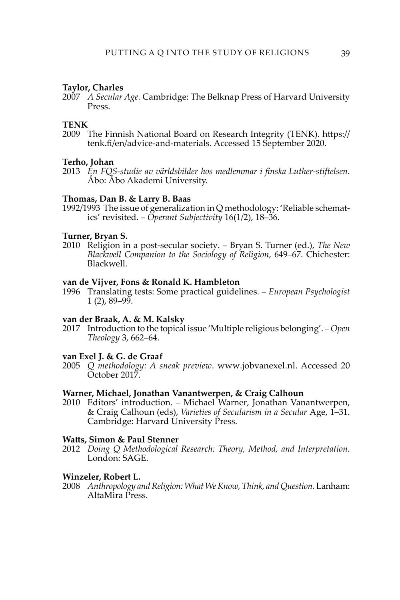#### **Taylor, Charles**

2007 *A Secular Age.* Cambridge: The Belknap Press of Harvard University Press.

## **TENK**

2009 The Finnish National Board on Research Integrity (TENK). [https://](https://tenk.fi/en/advice-and-materials) [tenk.fi/en/advice-and-materials.](https://tenk.fi/en/advice-and-materials) Accessed 15 September 2020.

#### **Terho, Johan**

2013 *En FQS-studie av världsbilder hos medlemmar i finska Luther-stiftelsen*. Åbo: Åbo Akademi University.

#### **Thomas, Dan B. & Larry B. Baas**

1992/1993 The issue of generalization in Q methodology: 'Reliable schematics' revisited. – *Operant Subjectivity* 16(1/2), 18–36.

#### **Turner, Bryan S.**

2010 Religion in a post-secular society. – Bryan S. Turner (ed.), *The New Blackwell Companion to the Sociology of Religion*, 649–67. Chichester: Blackwell.

#### **van de Vijver, Fons & Ronald K. Hambleton**

1996 Translating tests: Some practical guidelines. – *European Psychologist*   $1(2)$ , 89–99.

# **van der Braak, A. & M. Kalsky**

2017 Introduction to the topical issue 'Multiple religious belonging'. – *Open Theology* 3, 662–64.

# **van Exel J. & G. de Graaf**

2005 *Q methodology: A sneak preview*. [www.jobvanexel.nl.](http://www.jobvanexel.nl) Accessed 20 October 2017.

#### **Warner, Michael, Jonathan Vanantwerpen, & Craig Calhoun**

2010 Editors' introduction. – Michael Warner, Jonathan Vanantwerpen, & Craig Calhoun (eds), *Varieties of Secularism in a Secular* Age, 1–31. Cambridge: Harvard University Press.

#### **Watts, Simon & Paul Stenner**

2012 *Doing Q Methodological Research: Theory, Method, and Interpretation.* London: SAGE.

#### **Winzeler, Robert L.**

2008 *Anthropology and Religion: What We Know, Think, and Question.* Lanham: AltaMira Press.